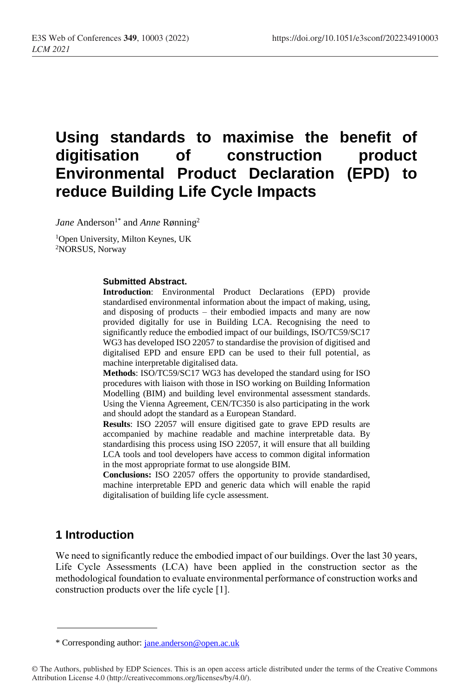# **Using standards to maximise the benefit of digitisation of construction product Environmental Product Declaration (EPD) to reduce Building Life Cycle Impacts**

*Jane* Anderson<sup>1\*</sup> and *Anne* Rønning<sup>2</sup>

<sup>1</sup>Open University, Milton Keynes, UK <sup>2</sup>NORSUS, Norway

#### **Submitted Abstract.**

**Introduction**: Environmental Product Declarations (EPD) provide standardised environmental information about the impact of making, using, and disposing of products – their embodied impacts and many are now provided digitally for use in Building LCA. Recognising the need to significantly reduce the embodied impact of our buildings, ISO/TC59/SC17 WG3 has developed ISO 22057 to standardise the provision of digitised and digitalised EPD and ensure EPD can be used to their full potential, as machine interpretable digitalised data.

**Methods**: ISO/TC59/SC17 WG3 has developed the standard using for ISO procedures with liaison with those in ISO working on Building Information Modelling (BIM) and building level environmental assessment standards. Using the Vienna Agreement, CEN/TC350 is also participating in the work and should adopt the standard as a European Standard.

**Results**: ISO 22057 will ensure digitised gate to grave EPD results are accompanied by machine readable and machine interpretable data. By standardising this process using ISO 22057, it will ensure that all building LCA tools and tool developers have access to common digital information in the most appropriate format to use alongside BIM.

**Conclusions:** ISO 22057 offers the opportunity to provide standardised, machine interpretable EPD and generic data which will enable the rapid digitalisation of building life cycle assessment.

### **1 Introduction**

We need to significantly reduce the embodied impact of our buildings. Over the last 30 years, Life Cycle Assessments (LCA) have been applied in the construction sector as the methodological foundation to evaluate environmental performance of construction works and construction products over the life cycle [1].

<sup>\*</sup> Corresponding author: [jane.anderson@open.ac.uk](mailto:jane.anderson@open.ac.uk)

<sup>©</sup> The Authors, published by EDP Sciences. This is an open access article distributed under the terms of the Creative Commons Attribution License 4.0 (http://creativecommons.org/licenses/by/4.0/).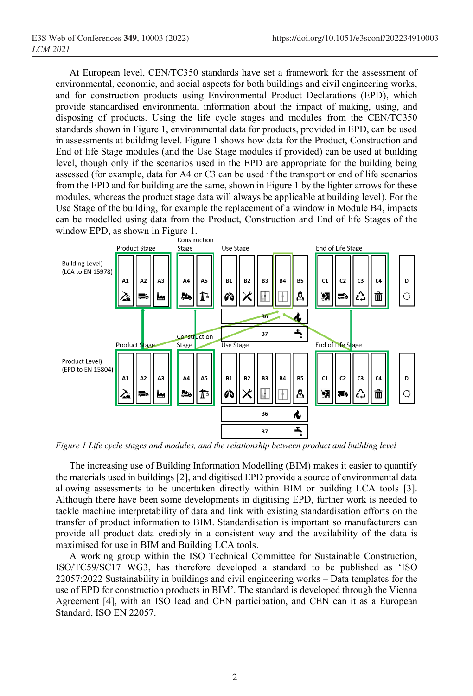At European level, CEN/TC350 standards have set a framework for the assessment of environmental, economic, and social aspects for both buildings and civil engineering works, and for construction products using Environmental Product Declarations (EPD), which provide standardised environmental information about the impact of making, using, and disposing of products. Using the life cycle stages and modules from the CEN/TC350 standards shown in Figure 1, environmental data for products, provided in EPD, can be used in assessments at building level. Figure 1 shows how data for the Product, Construction and End of life Stage modules (and the Use Stage modules if provided) can be used at building level, though only if the scenarios used in the EPD are appropriate for the building being assessed (for example, data for A4 or C3 can be used if the transport or end of life scenarios from the EPD and for building are the same, shown in Figure 1 by the lighter arrows for these modules, whereas the product stage data will always be applicable at building level). For the Use Stage of the building, for example the replacement of a window in Module B4, impacts can be modelled using data from the Product, Construction and End of life Stages of the window EPD, as shown in [Figure 1.](#page-1-0)<br>Construction



<span id="page-1-0"></span>*Figure 1 Life cycle stages and modules, and the relationship between product and building level*

The increasing use of Building Information Modelling (BIM) makes it easier to quantify the materials used in buildings [2], and digitised EPD provide a source of environmental data allowing assessments to be undertaken directly within BIM or building LCA tools [3]. Although there have been some developments in digitising EPD, further work is needed to tackle machine interpretability of data and link with existing standardisation efforts on the transfer of product information to BIM. Standardisation is important so manufacturers can provide all product data credibly in a consistent way and the availability of the data is maximised for use in BIM and Building LCA tools.

A working group within the ISO Technical Committee for Sustainable Construction, ISO/TC59/SC17 WG3, has therefore developed a standard to be published as 'ISO 22057:2022 Sustainability in buildings and civil engineering works – Data templates for the use of EPD for construction products in BIM'. The standard is developed through the Vienna Agreement [4], with an ISO lead and CEN participation, and CEN can it as a European Standard, ISO EN 22057.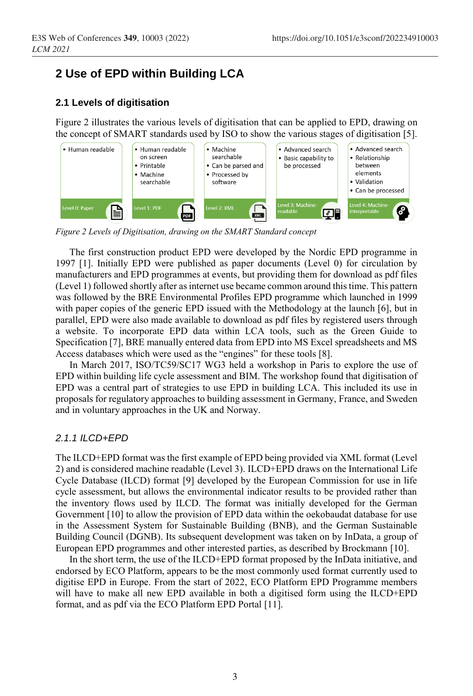# **2 Use of EPD within Building LCA**

#### **2.1 Levels of digitisation**

Figure 2 illustrates the various levels of digitisation that can be applied to EPD, drawing on the concept of SMART standards used by ISO to show the various stages of digitisation [5].



*Figure 2 Levels of Digitisation, drawing on the SMART Standard concept*

The first construction product EPD were developed by the Nordic EPD programme in 1997 [1]. Initially EPD were published as paper documents (Level 0) for circulation by manufacturers and EPD programmes at events, but providing them for download as pdf files (Level 1) followed shortly after as internet use became common around this time. This pattern was followed by the BRE Environmental Profiles EPD programme which launched in 1999 with paper copies of the generic EPD issued with the Methodology at the launch [6], but in parallel, EPD were also made available to download as pdf files by registered users through a website. To incorporate EPD data within LCA tools, such as the Green Guide to Specification [7], BRE manually entered data from EPD into MS Excel spreadsheets and MS Access databases which were used as the "engines" for these tools [8].

In March 2017, ISO/TC59/SC17 WG3 held a workshop in Paris to explore the use of EPD within building life cycle assessment and BIM. The workshop found that digitisation of EPD was a central part of strategies to use EPD in building LCA. This included its use in proposals for regulatory approaches to building assessment in Germany, France, and Sweden and in voluntary approaches in the UK and Norway.

#### *2.1.1 ILCD+EPD*

The ILCD+EPD format was the first example of EPD being provided via XML format (Level 2) and is considered machine readable (Level 3). ILCD+EPD draws on the International Life Cycle Database (ILCD) format [9] developed by the European Commission for use in life cycle assessment, but allows the environmental indicator results to be provided rather than the inventory flows used by ILCD. The format was initially developed for the German Government [10] to allow the provision of EPD data within the oekobaudat database for use in the Assessment System for Sustainable Building (BNB), and the German Sustainable Building Council (DGNB). Its subsequent development was taken on by InData, a group of European EPD programmes and other interested parties, as described by Brockmann [10].

In the short term, the use of the ILCD+EPD format proposed by the InData initiative, and endorsed by ECO Platform, appears to be the most commonly used format currently used to digitise EPD in Europe. From the start of 2022, ECO Platform EPD Programme members will have to make all new EPD available in both a digitised form using the ILCD+EPD format, and as pdf via the ECO Platform EPD Portal [11].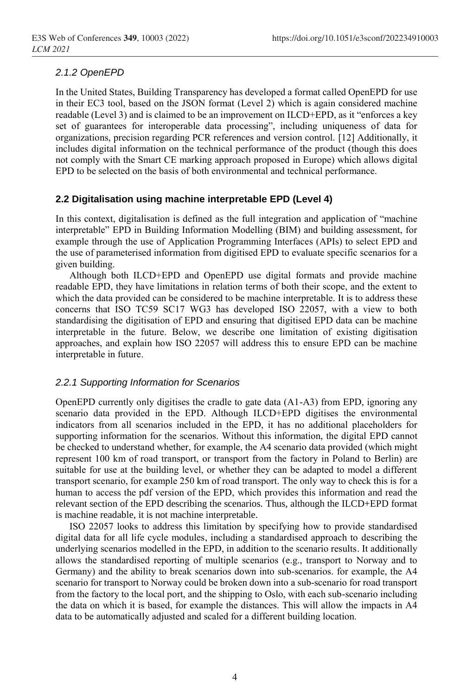#### *2.1.2 OpenEPD*

In the United States, Building Transparency has developed a format called OpenEPD for use in their EC3 tool, based on the JSON format (Level 2) which is again considered machine readable (Level 3) and is claimed to be an improvement on ILCD+EPD, as it "enforces a key set of guarantees for interoperable data processing", including uniqueness of data for organizations, precision regarding PCR references and version control. [12] Additionally, it includes digital information on the technical performance of the product (though this does not comply with the Smart CE marking approach proposed in Europe) which allows digital EPD to be selected on the basis of both environmental and technical performance.

#### **2.2 Digitalisation using machine interpretable EPD (Level 4)**

In this context, digitalisation is defined as the full integration and application of "machine interpretable" EPD in Building Information Modelling (BIM) and building assessment, for example through the use of Application Programming Interfaces (APIs) to select EPD and the use of parameterised information from digitised EPD to evaluate specific scenarios for a given building.

Although both ILCD+EPD and OpenEPD use digital formats and provide machine readable EPD, they have limitations in relation terms of both their scope, and the extent to which the data provided can be considered to be machine interpretable. It is to address these concerns that ISO TC59 SC17 WG3 has developed ISO 22057, with a view to both standardising the digitisation of EPD and ensuring that digitised EPD data can be machine interpretable in the future. Below, we describe one limitation of existing digitisation approaches, and explain how ISO 22057 will address this to ensure EPD can be machine interpretable in future.

#### <span id="page-3-0"></span>*2.2.1 Supporting Information for Scenarios*

OpenEPD currently only digitises the cradle to gate data (A1-A3) from EPD, ignoring any scenario data provided in the EPD. Although ILCD+EPD digitises the environmental indicators from all scenarios included in the EPD, it has no additional placeholders for supporting information for the scenarios. Without this information, the digital EPD cannot be checked to understand whether, for example, the A4 scenario data provided (which might represent 100 km of road transport, or transport from the factory in Poland to Berlin) are suitable for use at the building level, or whether they can be adapted to model a different transport scenario, for example 250 km of road transport. The only way to check this is for a human to access the pdf version of the EPD, which provides this information and read the relevant section of the EPD describing the scenarios. Thus, although the ILCD+EPD format is machine readable, it is not machine interpretable.

ISO 22057 looks to address this limitation by specifying how to provide standardised digital data for all life cycle modules, including a standardised approach to describing the underlying scenarios modelled in the EPD, in addition to the scenario results. It additionally allows the standardised reporting of multiple scenarios (e.g., transport to Norway and to Germany) and the ability to break scenarios down into sub-scenarios. for example, the A4 scenario for transport to Norway could be broken down into a sub-scenario for road transport from the factory to the local port, and the shipping to Oslo, with each sub-scenario including the data on which it is based, for example the distances. This will allow the impacts in A4 data to be automatically adjusted and scaled for a different building location.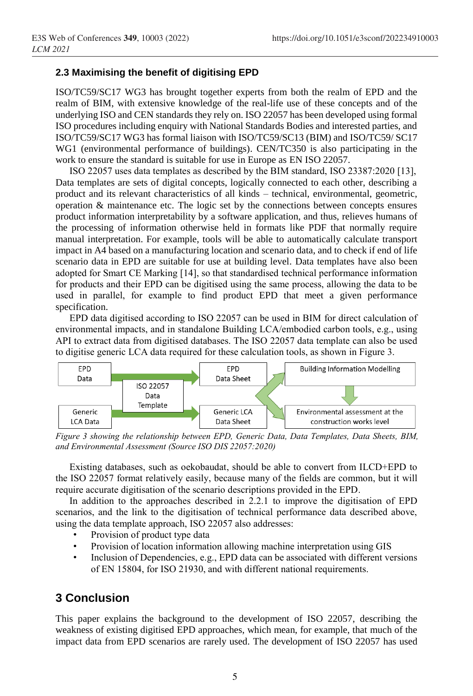#### **2.3 Maximising the benefit of digitising EPD**

ISO/TC59/SC17 WG3 has brought together experts from both the realm of EPD and the realm of BIM, with extensive knowledge of the real-life use of these concepts and of the underlying ISO and CEN standards they rely on. ISO 22057 has been developed using formal ISO procedures including enquiry with National Standards Bodies and interested parties, and ISO/TC59/SC17 WG3 has formal liaison with ISO/TC59/SC13 (BIM) and ISO/TC59/ SC17 WG1 (environmental performance of buildings). CEN/TC350 is also participating in the work to ensure the standard is suitable for use in Europe as EN ISO 22057.

ISO 22057 uses data templates as described by the BIM standard, ISO 23387:2020 [13], Data templates are sets of digital concepts, logically connected to each other, describing a product and its relevant characteristics of all kinds – technical, environmental, geometric, operation & maintenance etc. The logic set by the connections between concepts ensures product information interpretability by a software application, and thus, relieves humans of the processing of information otherwise held in formats like PDF that normally require manual interpretation. For example, tools will be able to automatically calculate transport impact in A4 based on a manufacturing location and scenario data, and to check if end of life scenario data in EPD are suitable for use at building level. Data templates have also been adopted for Smart CE Marking [14], so that standardised technical performance information for products and their EPD can be digitised using the same process, allowing the data to be used in parallel, for example to find product EPD that meet a given performance specification.

EPD data digitised according to ISO 22057 can be used in BIM for direct calculation of environmental impacts, and in standalone Building LCA/embodied carbon tools, e.g., using API to extract data from digitised databases. The ISO 22057 data template can also be used to digitise generic LCA data required for these calculation tools, as shown in [Figure 3.](#page-4-0)



<span id="page-4-0"></span>*Figure 3 showing the relationship between EPD, Generic Data, Data Templates, Data Sheets, BIM, and Environmental Assessment (Source ISO DIS 22057:2020)*

Existing databases, such as oekobaudat, should be able to convert from ILCD+EPD to the ISO 22057 format relatively easily, because many of the fields are common, but it will require accurate digitisation of the scenario descriptions provided in the EPD.

In addition to the approaches described in [2.2.1](#page-3-0) to improve the digitisation of EPD scenarios, and the link to the digitisation of technical performance data described above, using the data template approach, ISO 22057 also addresses:

- Provision of product type data
- Provision of location information allowing machine interpretation using GIS
- Inclusion of Dependencies, e.g., EPD data can be associated with different versions of EN 15804, for ISO 21930, and with different national requirements.

# **3 Conclusion**

This paper explains the background to the development of ISO 22057, describing the weakness of existing digitised EPD approaches, which mean, for example, that much of the impact data from EPD scenarios are rarely used. The development of ISO 22057 has used